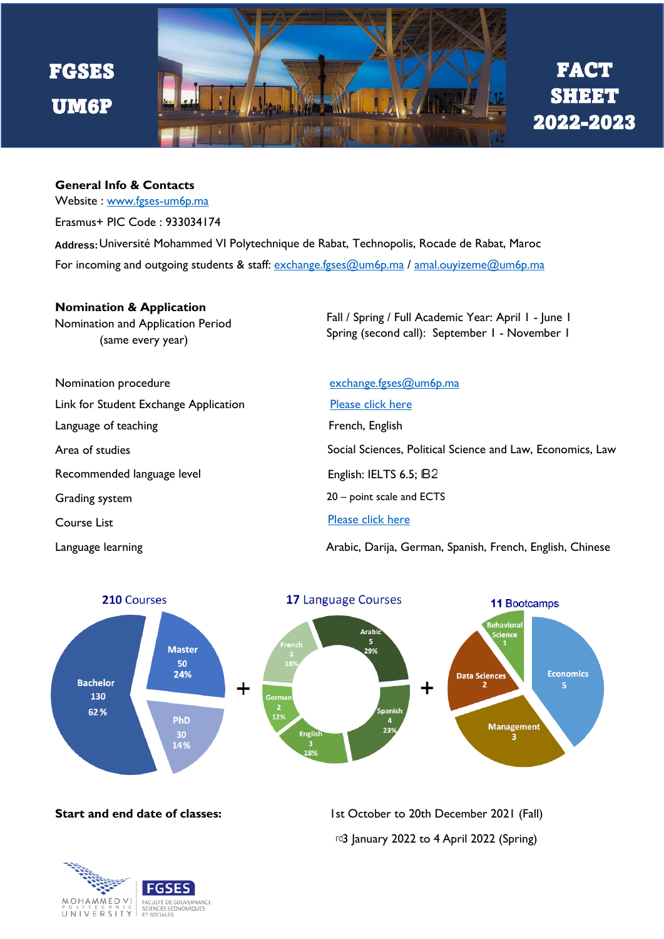

## **General Info & Contacts**

Website : [www.fgses-um6p.ma](http://www.fgses-um6p.ma/)

Erasmus+ PIC Code : 933034174

Address: Université Mohammed VI Polytechnique de Rabat, Technopolis, Rocade de Rabat, Maroc For incoming and outgoing students & staff: [exchange.fgses@um6p.ma](mailto:exchange.fgses@um6p.ma) / [amal.ouyizeme@um6p.ma](mailto:amal.ouyizeme@um6p.ma)

## **Nomination & Application**

(same every year) Nomination and Application Period Fall / Spring / Full Academic Year: April 1 - June 1 Spring (second call): September 1 - November 1

Nomination procedure [exchange.fgses@um6p.ma](mailto:exchange.fgses@um6p.ma) Link for Student Exchange Application [Please click here](https://www.fgses-um6p.ma/etudier-a-la-FGSES) Language of teaching Theorem Controller and the French, English Area of studies Recommended language level Grading system Course List

Social Sciences, Political Science and Law, Economics, Law 20 – point scale and ECTS [Please click here](https://www.fgses-um6p.ma/node/4105) English: IELTS 6.5; B2

Language learning Arabic, Darija, German, Spanish, French, English, Chinese





**Start and end date of classes:** 1st October to 20th December 2021 (Fall) rd3 January 2022 to 4 April 2022 (Spring)